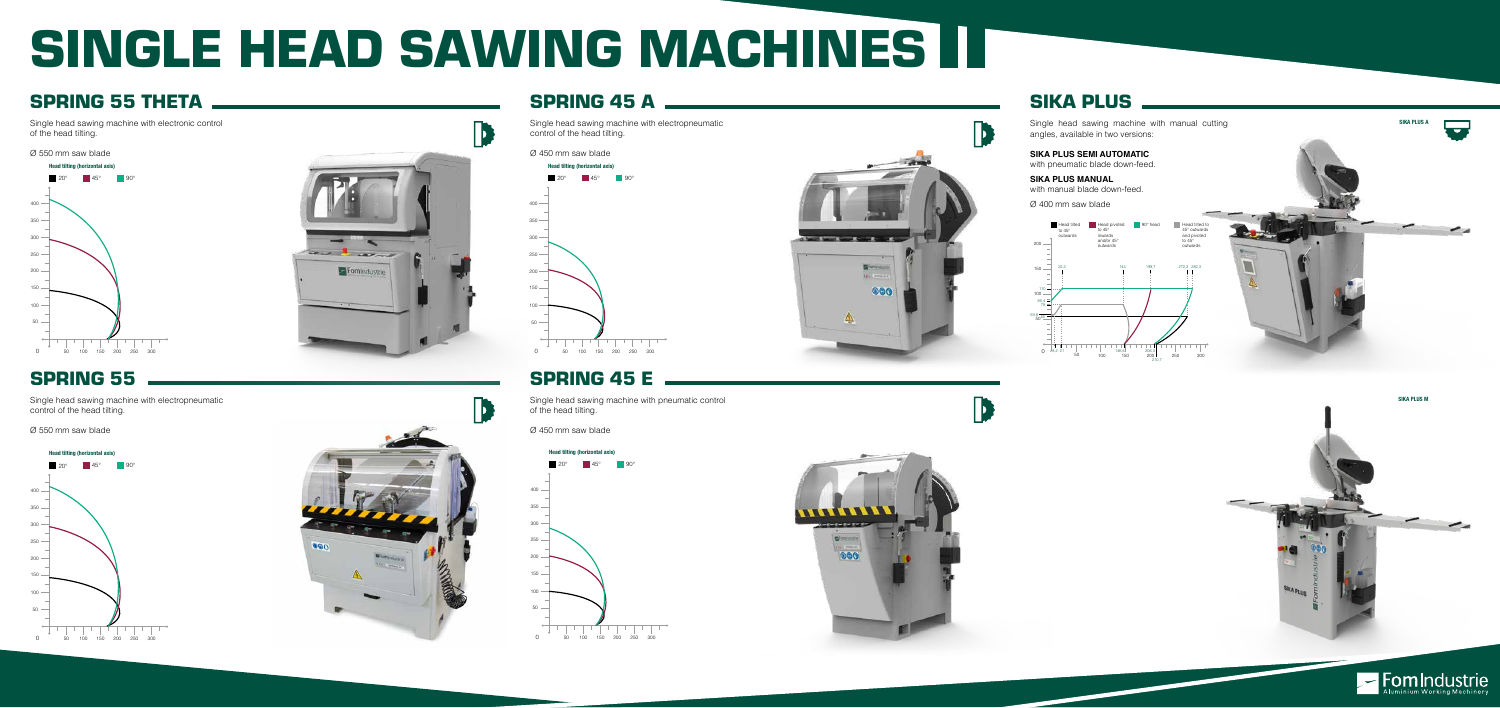## SINGLE HEAD SAWING MACHINES IT

## SPRING 55 THETA NARROW SPRING 45 A SPRING 45 A SPRING 45 A SIKA PLUS

Single head sawing machine with electropneumatic control of the head tilting.

Ø 450 mm saw blade

### SPRING 55

Single head sawing machine with electropneumatic control of the head tilting.

Ø 550 mm saw blade

Single head sawing machine with manual cutting angles, available in two versions:

**SIKA PLUS SEMI AUTOMATIC** with pneumatic blade down-feed.

**SIKA PLUS MANUAL**  with manual blade down-feed.

Ø 400 mm saw blade

Single head sawing machine with pneumatic control of the head tilting.

Ø 450 mm saw blade

Single head sawing machine with electronic control of the head tilting.

### Ø 550 mm saw blade

## SPRING 45 E























**D**